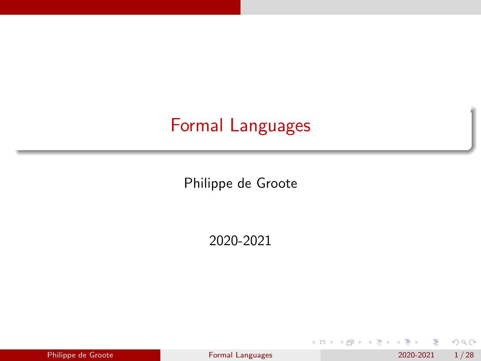# <span id="page-0-0"></span>Formal Languages

Philippe de Groote

2020-2021

|  | Philippe de Groote |  |
|--|--------------------|--|
|  |                    |  |

э Pormal Languages 2020-2021 1/28

化重新润滑 h.  $298$ 

**Kロト K同下**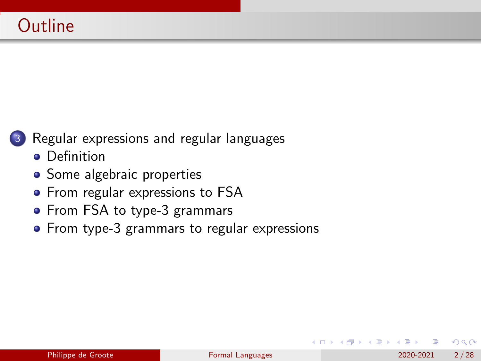

[Regular expressions and regular languages](#page-2-0)

- **•** [Definition](#page-2-0)
- [Some algebraic properties](#page-5-0)
- [From regular expressions to FSA](#page-7-0)
- [From FSA to type-3 grammars](#page-16-0)
- [From type-3 grammars to regular expressions](#page-32-0)

Э×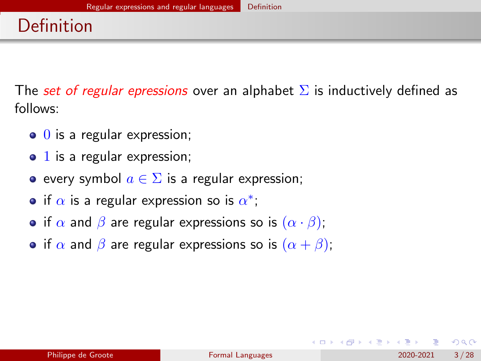<span id="page-2-0"></span>The set of regular epressions over an alphabet  $\Sigma$  is inductively defined as follows:

- $\bullet$  0 is a regular expression;
- $\bullet$  1 is a regular expression;
- e every symbol  $a \in \Sigma$  is a regular expression;
- if  $\alpha$  is a regular expression so is  $\alpha^*$ ;
- if  $\alpha$  and  $\beta$  are regular expressions so is  $(\alpha \cdot \beta)$ ;
- if  $\alpha$  and  $\beta$  are regular expressions so is  $(\alpha + \beta)$ ;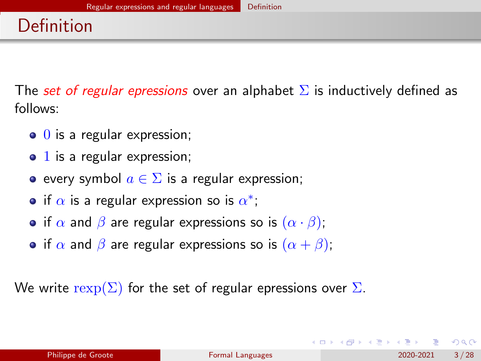The set of regular epressions over an alphabet  $\Sigma$  is inductively defined as follows:

- $\bullet$  0 is a regular expression;
- $\bullet$  1 is a regular expression;
- e every symbol  $a \in \Sigma$  is a regular expression;
- if  $\alpha$  is a regular expression so is  $\alpha^*$ ;
- if  $\alpha$  and  $\beta$  are regular expressions so is  $(\alpha \cdot \beta)$ ;
- if  $\alpha$  and  $\beta$  are regular expressions so is  $(\alpha + \beta)$ ;

We write  $\text{resp}(\Sigma)$  for the set of regular epressions over  $\Sigma$ .

 $200$ 

 $\mathbf{A} \equiv \mathbf{A} \times \mathbf{A} \equiv \mathbf{A}$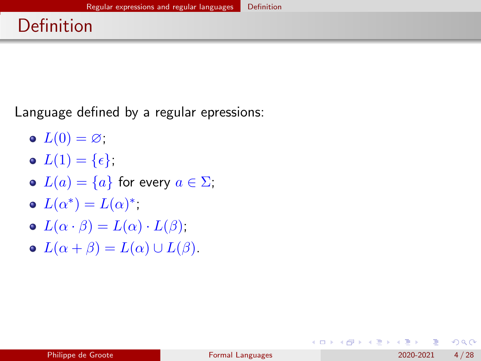# Definition

Language defined by a regular epressions:

- $L(0) = \varnothing$ ;
- $L(1) = {\epsilon},$
- $L(a) = \{a\}$  for every  $a \in \Sigma$ ;
- $L(\alpha^*) = L(\alpha)^*$ ;
- $L(\alpha \cdot \beta) = L(\alpha) \cdot L(\beta)$ ;
- $L(\alpha + \beta) = L(\alpha) \cup L(\beta).$

4 0 8 1

 $\mathcal{A} \oplus \mathcal{B}$  and  $\mathcal{A} \oplus \mathcal{B}$  and  $\mathcal{B} \oplus \mathcal{B}$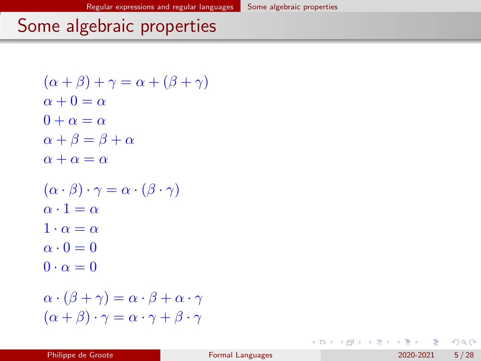# <span id="page-5-0"></span>Some algebraic properties

```
(\alpha + \beta) + \gamma = \alpha + (\beta + \gamma)\alpha + 0 = \alpha0 + \alpha = \alpha\alpha + \beta = \beta + \alpha\alpha + \alpha = \alpha(\alpha \cdot \beta) \cdot \gamma = \alpha \cdot (\beta \cdot \gamma)\alpha \cdot 1 = \alpha1 \cdot \alpha = \alpha\alpha \cdot 0 = 00 \cdot \alpha = 0\alpha \cdot (\beta + \gamma) = \alpha \cdot \beta + \alpha \cdot \gamma(\alpha + \beta) \cdot \gamma = \alpha \cdot \gamma + \beta \cdot \gamma
```
 $A \Box B$   $A \Box B$   $A \Box B$   $A \Box B$   $A \Box B$   $A$ 

 $QQ$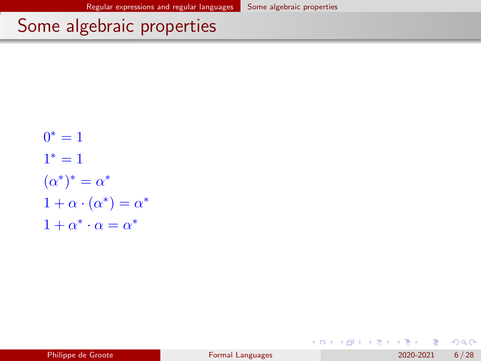# Some algebraic properties

$$
0^* = 1
$$
  
\n
$$
1^* = 1
$$
  
\n
$$
(\alpha^*)^* = \alpha^*
$$
  
\n
$$
1 + \alpha \cdot (\alpha^*) = \alpha^*
$$
  
\n
$$
1 + \alpha^* \cdot \alpha = \alpha^*
$$

Э×  $\leftarrow$   $\equiv$ 

×.

**◆ ロ ▶ → 何**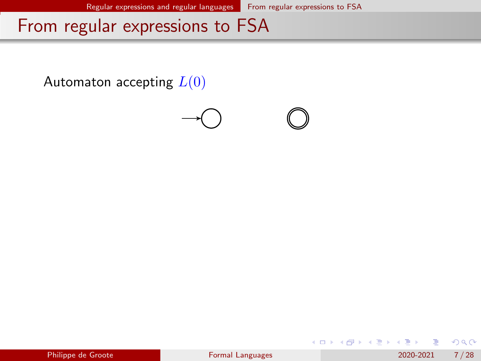<span id="page-7-0"></span>Automaton accepting  $L(0)$ 



|  | Philippe de Groote |
|--|--------------------|

4 0 8 1

化重 网络重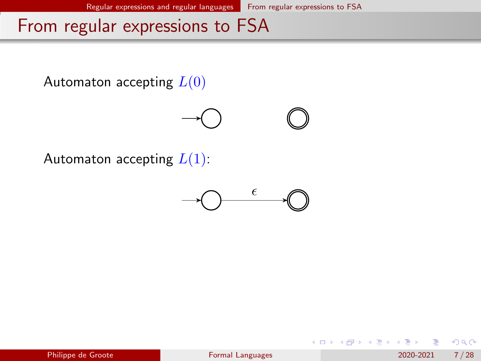



Automaton accepting  $L(1)$ :



|  |  |  | Philippe de Groote |
|--|--|--|--------------------|
|  |  |  |                    |

化重新润滑脂

4 0 F

 $QQ$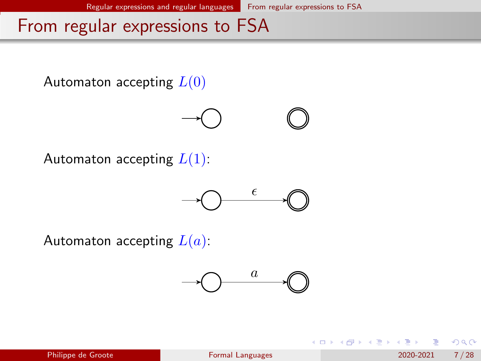

 $200$ 

イロト イ押ト イヨト イヨト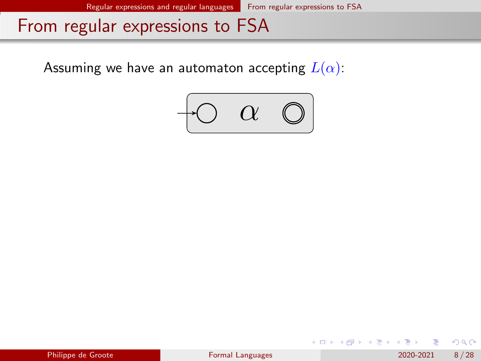Assuming we have an automaton accepting  $L(\alpha)$ :



 $QQ$ 

医毛管 医头面的

**← ロ → → ← 何 →**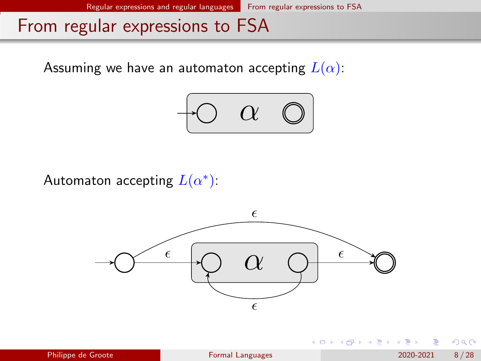Assuming we have an automaton accepting  $L(\alpha)$ :



Automaton accepting  $L(\alpha^*)$ :



€ □ E

- ④ ラ ス ヨ メ ス ヨ メ

 $QQ$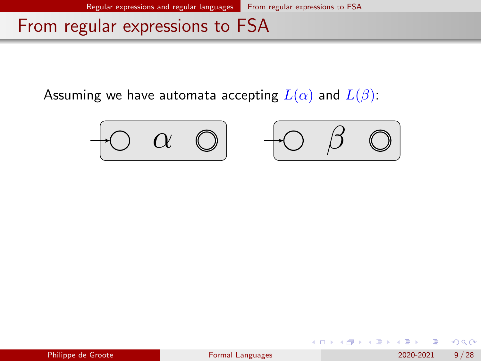Assuming we have automata accepting  $L(\alpha)$  and  $L(\beta)$ :





4 0 F

 $\Omega$ 

化重 经间重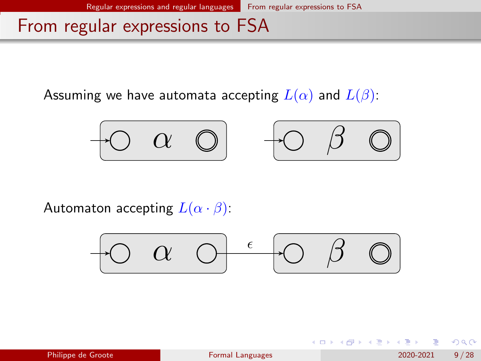Assuming we have automata accepting  $L(\alpha)$  and  $L(\beta)$ :





イロト イ押ト イヨト イヨ

Automaton accepting  $L(\alpha \cdot \beta)$ :



 $QQQ$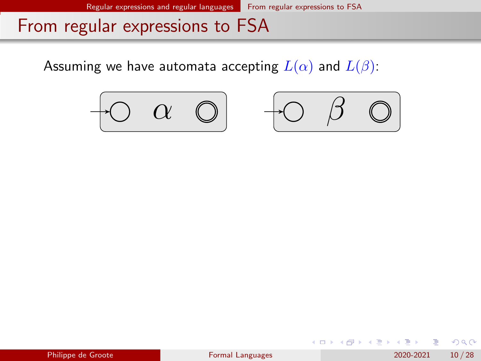Assuming we have automata accepting  $L(\alpha)$  and  $L(\beta)$ :





4 0 8

| Philippe de Groote |  |  |
|--------------------|--|--|
|                    |  |  |

化重 经间重

 $QQ$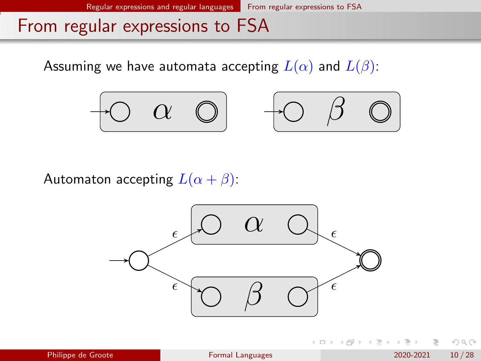Assuming we have automata accepting  $L(\alpha)$  and  $L(\beta)$ :





€ □ E

Automaton accepting  $L(\alpha + \beta)$ :



医毛囊 医牙骨下的

 $QQ$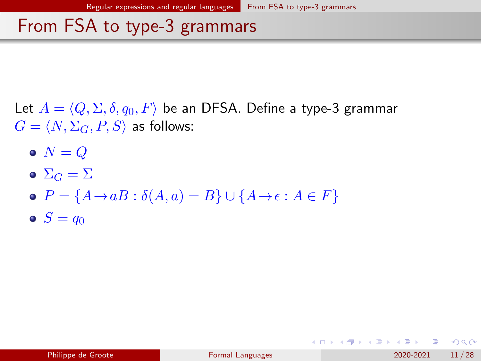<span id="page-16-0"></span>Let  $A = \langle Q, \Sigma, \delta, q_0, F \rangle$  be an DFSA. Define a type-3 grammar  $G = \langle N, \Sigma_G, P, S \rangle$  as follows:

- $\bullet N = Q$
- $\bullet$   $\Sigma_G = \Sigma$
- $\bullet$   $P = \{A \rightarrow aB : \delta(A, a) = B\} \cup \{A \rightarrow \epsilon : A \in F\}$
- $S = q_0$

KED KARD KED KED E LOGO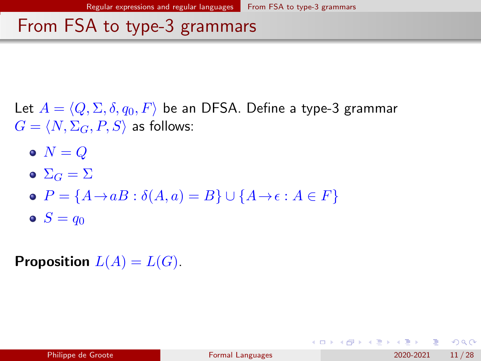Let  $A = \langle Q, \Sigma, \delta, q_0, F \rangle$  be an DFSA. Define a type-3 grammar  $G = \langle N, \Sigma_G, P, S \rangle$  as follows:

- $\bullet N = Q$
- $\bullet$   $\Sigma_G = \Sigma$
- $\bullet$   $P = \{A \rightarrow aB : \delta(A, a) = B\} \cup \{A \rightarrow \epsilon : A \in F\}$
- $S = q_0$

**Proposition**  $L(A) = L(G)$ .

KED KARD KED KED E LOGO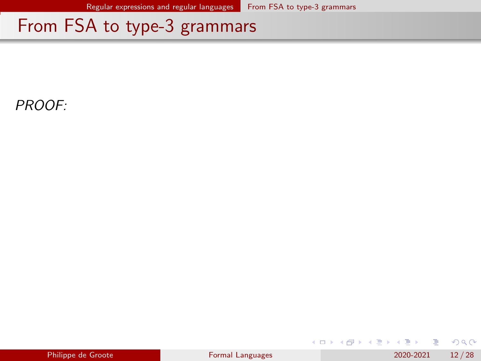PROOF:

| Philippe de Groote |  |  |
|--------------------|--|--|

化磨头 化重火

**← ロ → → ← 何 →**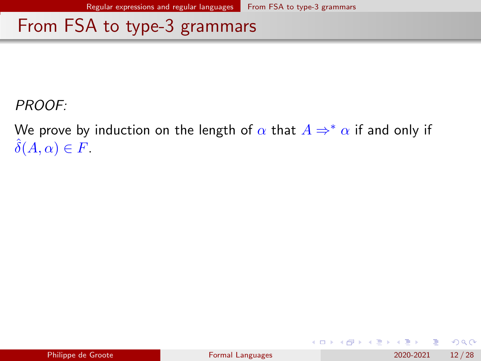PROOF:

We prove by induction on the length of  $\alpha$  that  $A \Rightarrow^* \alpha$  if and only if  $\delta(A,\alpha) \in F$ .

4 0 8

 $QQ$ 

化重 经间重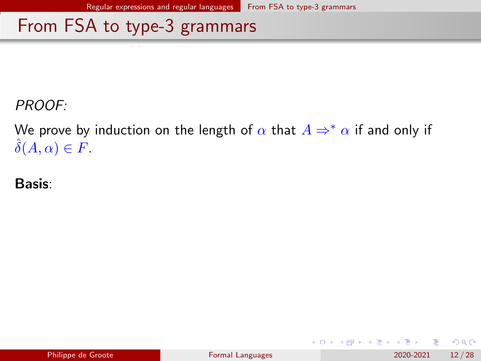PROOF:

We prove by induction on the length of  $\alpha$  that  $A \Rightarrow^* \alpha$  if and only if  $\delta(A,\alpha) \in F$ .

Basis:

|  | Philippe de Groote |
|--|--------------------|
|  |                    |

4 0 8

 $QQ$ 

化重 经间重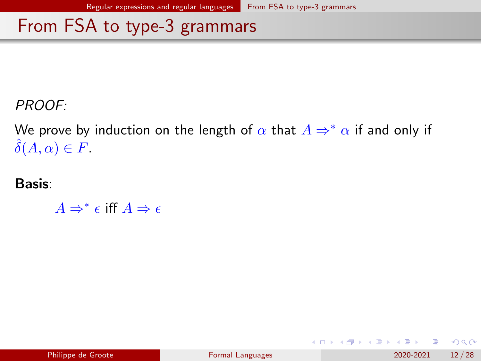PROOF:

We prove by induction on the length of  $\alpha$  that  $A \Rightarrow^* \alpha$  if and only if  $\delta(A,\alpha) \in F$ .

Basis:

 $A \Rightarrow^* \epsilon$  iff  $A \Rightarrow \epsilon$ 

4 0 8

 $QQ$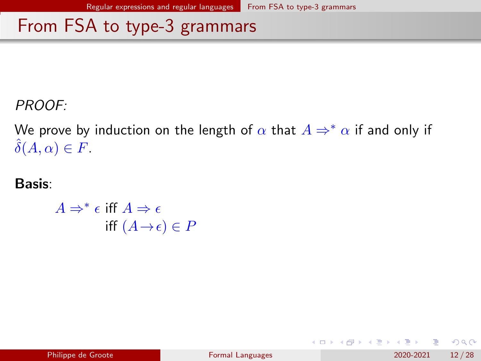PROOF:

We prove by induction on the length of  $\alpha$  that  $A \Rightarrow^* \alpha$  if and only if  $\delta(A,\alpha) \in F$ .

Basis:

 $A \Rightarrow^* \epsilon$  iff  $A \Rightarrow \epsilon$ iff  $(A \rightarrow \epsilon) \in P$ 

 $QQQ$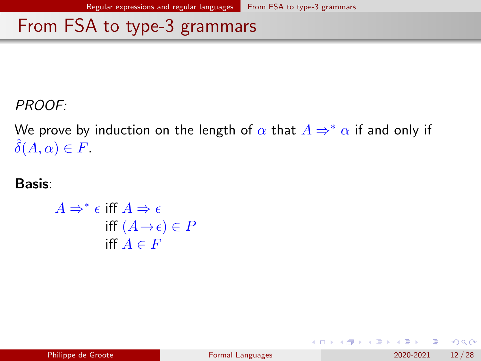PROOF:

We prove by induction on the length of  $\alpha$  that  $A \Rightarrow^* \alpha$  if and only if  $\delta(A, \alpha) \in F$ .

Basis:

 $A \Rightarrow^* \epsilon$  iff  $A \Rightarrow \epsilon$ iff  $(A \rightarrow \epsilon) \in P$ iff  $A \in F$ 

 $QQQ$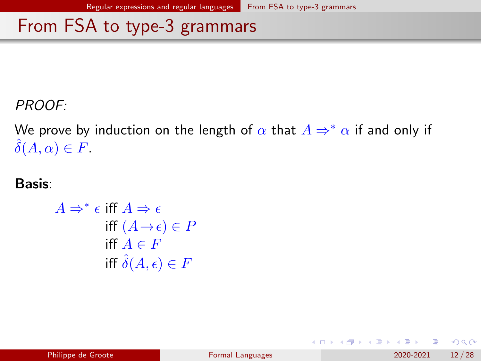PROOF:

We prove by induction on the length of  $\alpha$  that  $A \Rightarrow^* \alpha$  if and only if  $\delta(A,\alpha) \in F$ .

Basis:

$$
A \Rightarrow^* \epsilon \text{ iff } A \Rightarrow \epsilon
$$
  
iff  $(A \rightarrow \epsilon) \in P$   
iff  $A \in F$   
iff  $\hat{\delta}(A, \epsilon) \in F$ 

4 0 8

 $QQ$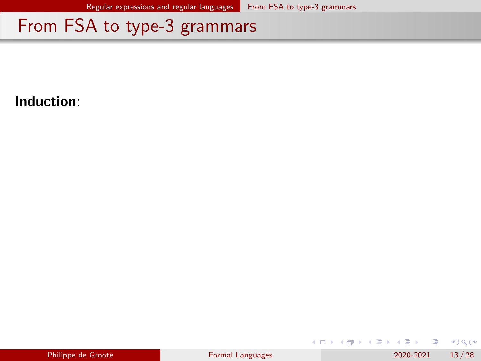Induction:

|  | Philippe de Groote |
|--|--------------------|

**B** 

化重新润滑

**K ロ ▶ K 何 ▶**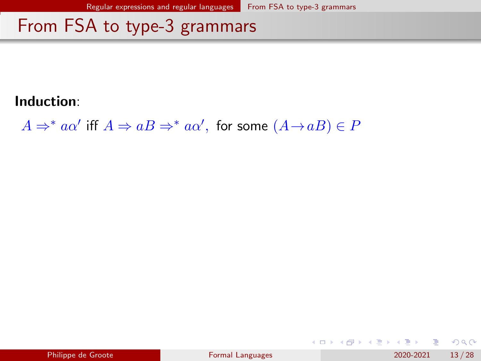#### Induction:

 $A \Rightarrow^* a\alpha'$  iff  $A \Rightarrow aB \Rightarrow^* a\alpha'$ , for some  $(A \rightarrow aB) \in P$ 

|  |  | Philippe de Groote |
|--|--|--------------------|
|  |  |                    |

 $QQ$ 

医毛囊 医牙骨下的

**K ロ ▶ K 何 ▶**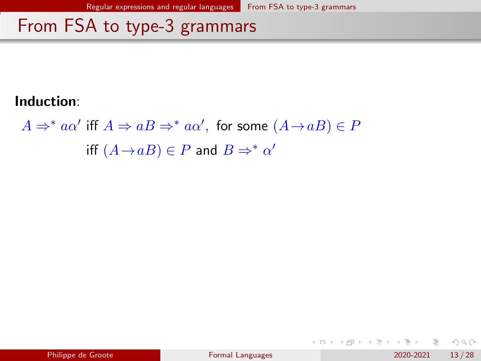#### Induction:

 $A \Rightarrow^* a\alpha'$  iff  $A \Rightarrow aB \Rightarrow^* a\alpha'$ , for some  $(A \rightarrow aB) \in P$ iff  $(A \rightarrow aB) \in P$  and  $B \Rightarrow^* \alpha'$ 

 $\Omega$ 

 $A \Box B$   $A \Box B$   $A \Box B$   $A \Box B$   $A \Box B$   $A$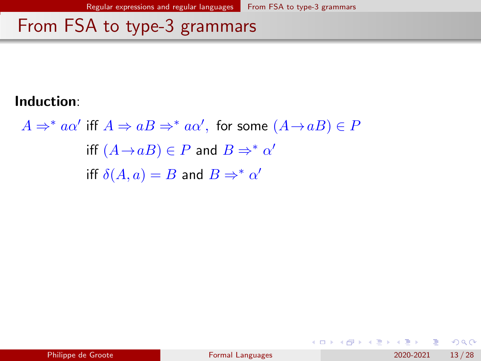#### Induction:

 $A \Rightarrow^* a\alpha'$  iff  $A \Rightarrow aB \Rightarrow^* a\alpha'$ , for some  $(A \rightarrow aB) \in P$ iff  $(A \rightarrow aB) \in P$  and  $B \Rightarrow^* \alpha'$ iff  $\delta(A, a) = B$  and  $B \Rightarrow^* \alpha'$ 

 $QQ$ 

 $A \Box B$   $A \Box B$   $A \Box B$   $A \Box B$   $A \Box B$   $A$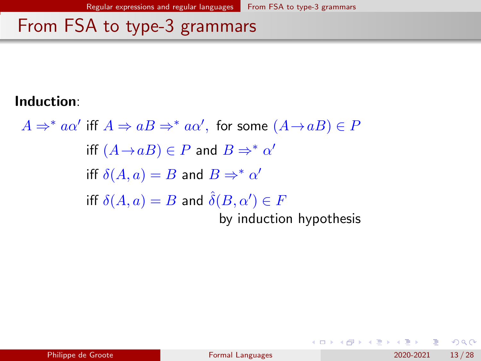#### Induction:

 $A \Rightarrow^* a\alpha'$  iff  $A \Rightarrow aB \Rightarrow^* a\alpha'$ , for some  $(A \rightarrow aB) \in P$ iff  $(A \rightarrow aB) \in P$  and  $B \Rightarrow^* \alpha'$ iff  $\delta(A, a) = B$  and  $B \Rightarrow^* \alpha'$ iff  $\delta(A,a)=B$  and  $\hat{\delta}(B,\alpha')\in F$ by induction hypothesis

 $QQ$ 

- 4 重 8 - 4 重 8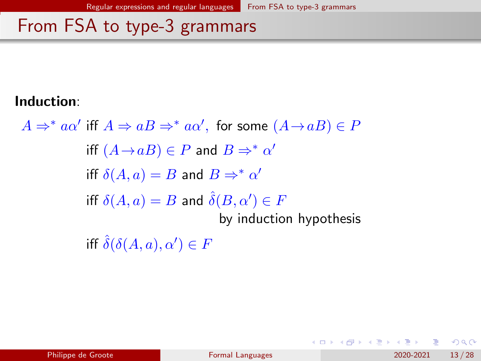#### Induction:

 $A \Rightarrow^* a\alpha'$  iff  $A \Rightarrow aB \Rightarrow^* a\alpha'$ , for some  $(A \rightarrow aB) \in P$ iff  $(A \rightarrow aB) \in P$  and  $B \Rightarrow^* \alpha'$ iff  $\delta(A, a) = B$  and  $B \Rightarrow^* \alpha'$ iff  $\delta(A,a)=B$  and  $\hat{\delta}(B,\alpha')\in F$ by induction hypothesis iff  $\hat{\delta}(\delta(A,a),\alpha') \in F$ 

 $QQQ$ 

イロト イ押ト イヨト イヨト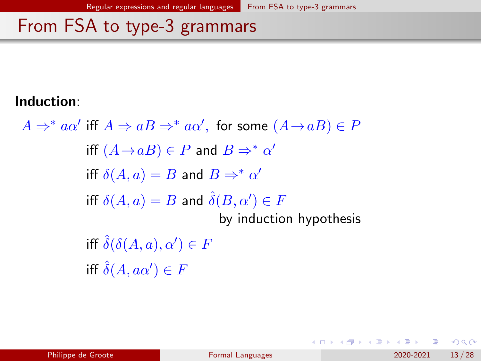#### Induction:

 $A \Rightarrow^* a\alpha'$  iff  $A \Rightarrow aB \Rightarrow^* a\alpha'$ , for some  $(A \rightarrow aB) \in P$ iff  $(A \rightarrow aB) \in P$  and  $B \Rightarrow^* \alpha'$ iff  $\delta(A, a) = B$  and  $B \Rightarrow^* \alpha'$ iff  $\delta(A,a)=B$  and  $\hat{\delta}(B,\alpha')\in F$ by induction hypothesis iff  $\hat{\delta}(\delta(A,a),\alpha') \in F$ iff  $\hat{\delta}(A,a\alpha')\in F$ 

 $QQ$ 

医毛囊 医牙骨下的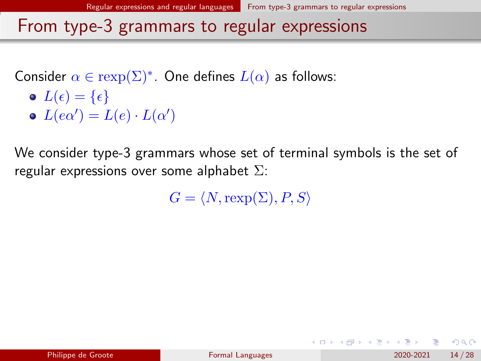<span id="page-32-0"></span>Consider 
$$
\alpha \in \text{rexp}(\Sigma)^*
$$
. One defines  $L(\alpha)$  as follows:  
\n•  $L(\epsilon) = {\epsilon}$   
\n•  $L(e\alpha') = L(e) \cdot L(\alpha')$ 

We consider type-3 grammars whose set of terminal symbols is the set of regular expressions over some alphabet  $\Sigma$ :

 $G = \langle N, \text{resp}(\Sigma), P, S \rangle$ 

 $QQQ$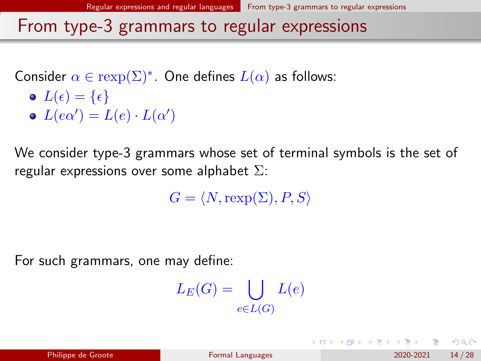Consider 
$$
\alpha \in \text{rexp}(\Sigma)^*
$$
. One defines  $L(\alpha)$  as follows:  
\n•  $L(\epsilon) = {\epsilon}$   
\n•  $L(e\alpha') = L(e) \cdot L(\alpha')$ 

We consider type-3 grammars whose set of terminal symbols is the set of regular expressions over some alphabet  $\Sigma$ :

 $G = \langle N, \text{resp}(\Sigma), P, S \rangle$ 

For such grammars, one may define:

$$
L_E(G) = \bigcup_{e \in L(G)} L(e)
$$

 $QQQ$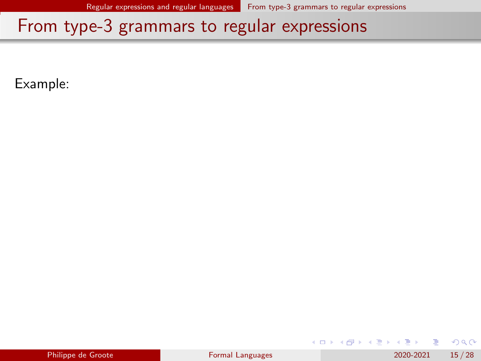Example:

|  | Philippe de Groote |
|--|--------------------|
|  |                    |

4 0 8

지금 되지 못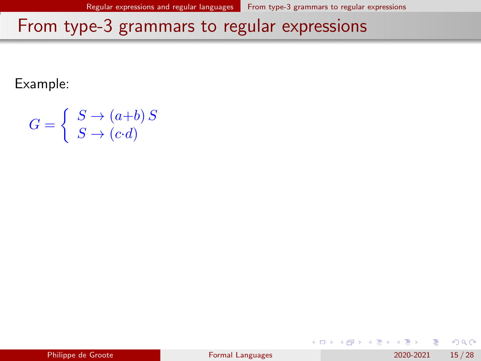Example:

$$
G = \begin{cases} S \to (a+b) S \\ S \to (c \cdot d) \end{cases}
$$

|  | Philippe de Groote |
|--|--------------------|
|  |                    |

4 0 8

지금 되지 못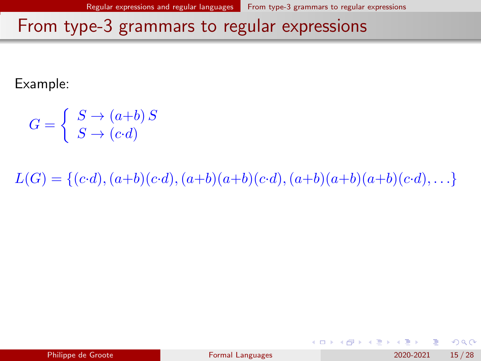Example:

$$
G = \begin{cases} S \to (a+b) S \\ S \to (c \cdot d) \end{cases}
$$

 $L(G) = \{(c \cdot d), (a+b)(c \cdot d), (a+b)(a+b)(c \cdot d), (a+b)(a+b)(a+b)(c \cdot d), \ldots\}$ 

 $QQ$ 

化重新润滑

**← ロ → → ← 何 →**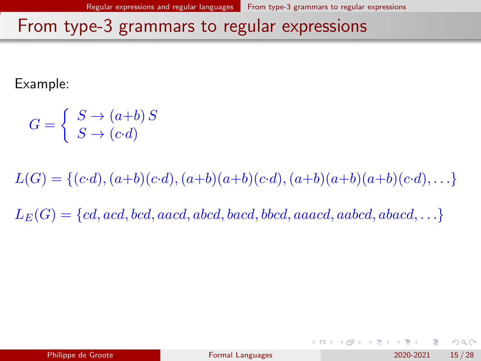Example:

$$
G = \begin{cases} S \to (a+b) S \\ S \to (c \cdot d) \end{cases}
$$

 $L(G) = \{(c \cdot d), (a+b)(c \cdot d), (a+b)(a+b)(c \cdot d), (a+b)(a+b)(a+b)(c \cdot d), \ldots\}$ 

 $L_E(G) = \{cd, acd, bcd, aacd, abcd, bacd, bbcd, aaacd, aabcd, abacd, \ldots\}$ 

 $QQ$ 

イロト イ押 トイヨ トイヨト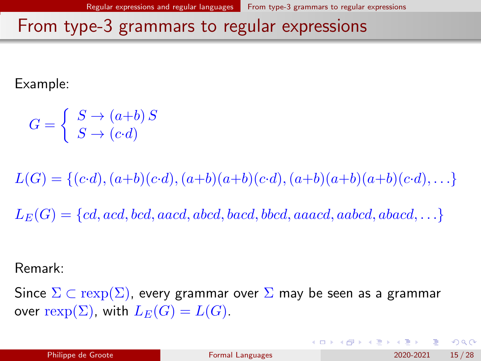Example:

$$
G = \begin{cases} S \to (a+b) S \\ S \to (c \cdot d) \end{cases}
$$

 $L(G) = \{(c \cdot d), (a+b)(c \cdot d), (a+b)(a+b)(c \cdot d), (a+b)(a+b)(a+b)(c \cdot d), \ldots\}$ 

 $L_E(G) = \{cd, acd, bcd, aacd, abcd, bacd, bbcd, aaacd, aabcd, abacd, \ldots\}$ 

Remark:

Since  $\Sigma \subset \text{resp}(\Sigma)$ , every grammar over  $\Sigma$  may be seen as a grammar over rexp( $\Sigma$ ), with  $L_E(G) = L(G)$ .

 $\Omega$ 

K ロ > K dj > K 글 > K 글 > H 글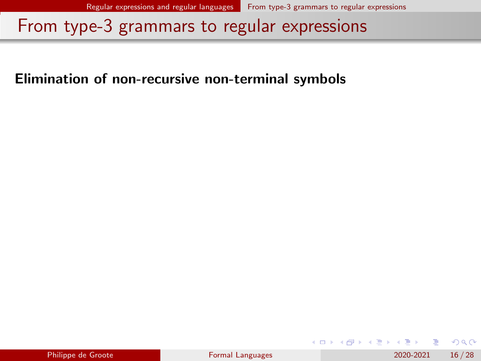### Elimination of non-recursive non-terminal symbols

| Philippe de Groote |  |
|--------------------|--|

 $QQ$ 

지금 되지 못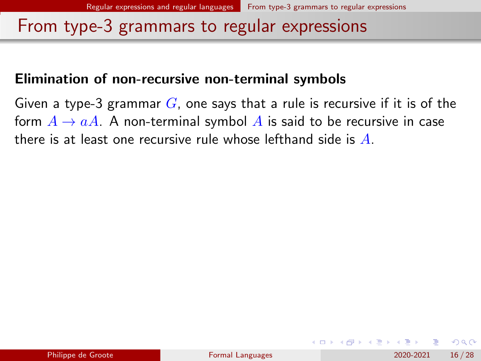#### Elimination of non-recursive non-terminal symbols

Given a type-3 grammar  $G$ , one says that a rule is recursive if it is of the form  $A \rightarrow aA$ . A non-terminal symbol A is said to be recursive in case there is at least one recursive rule whose lefthand side is  $A$ .

 $200$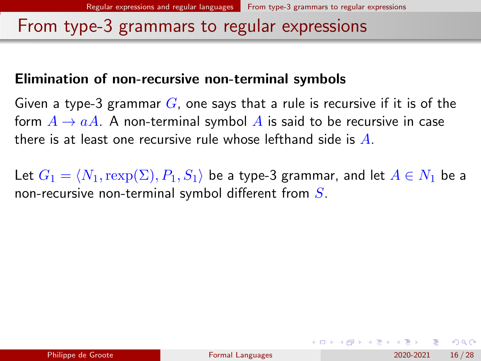### Elimination of non-recursive non-terminal symbols

Given a type-3 grammar  $G$ , one says that a rule is recursive if it is of the form  $A \rightarrow aA$ . A non-terminal symbol A is said to be recursive in case there is at least one recursive rule whose lefthand side is  $A$ .

Let  $G_1 = \langle N_1,\text{rexp}(\Sigma), P_1, S_1 \rangle$  be a type-3 grammar, and let  $A \in N_1$  be a non-recursive non-terminal symbol different from  $S$ .

 $\Omega$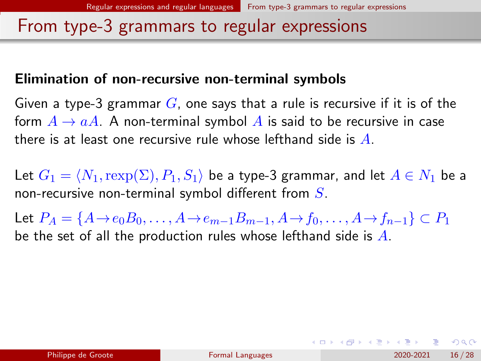### Elimination of non-recursive non-terminal symbols

Given a type-3 grammar  $G$ , one says that a rule is recursive if it is of the form  $A \rightarrow aA$ . A non-terminal symbol A is said to be recursive in case there is at least one recursive rule whose lefthand side is  $A$ .

Let  $G_1 = \langle N_1,\text{rexp}(\Sigma), P_1, S_1 \rangle$  be a type-3 grammar, and let  $A \in N_1$  be a non-recursive non-terminal symbol different from  $S$ .

Let  $P_A = \{A \rightarrow e_0 B_0, \dots, A \rightarrow e_{m-1} B_{m-1}, A \rightarrow f_0, \dots, A \rightarrow f_{n-1}\} \subset P_1$ be the set of all the production rules whose lefthand side is  $A$ .

**KOD KAR KED KED E VAN**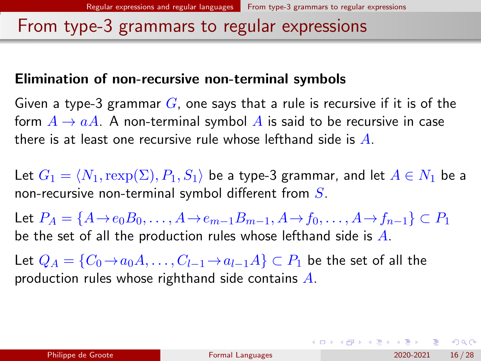### Elimination of non-recursive non-terminal symbols

Given a type-3 grammar  $G$ , one says that a rule is recursive if it is of the form  $A \rightarrow aA$ . A non-terminal symbol A is said to be recursive in case there is at least one recursive rule whose lefthand side is  $A$ .

Let  $G_1 = \langle N_1,\text{rexp}(\Sigma), P_1, S_1 \rangle$  be a type-3 grammar, and let  $A \in N_1$  be a non-recursive non-terminal symbol different from  $S$ .

Let  $P_A = \{A \rightarrow e_0 B_0, \dots, A \rightarrow e_{m-1} B_{m-1}, A \rightarrow f_0, \dots, A \rightarrow f_{n-1}\} \subset P_1$ be the set of all the production rules whose lefthand side is  $A$ .

Let  $Q_A = \{C_0 \rightarrow a_0 A, \ldots, C_{l-1} \rightarrow a_{l-1} A\} \subset P_1$  be the set of all the production rules whose righthand side contains A.

イロト イ母 トイミト イヨト ニヨー りんぴ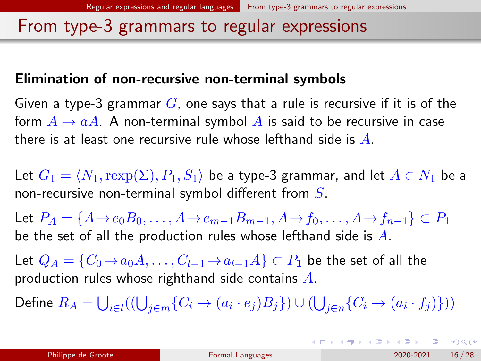### Elimination of non-recursive non-terminal symbols

Given a type-3 grammar  $G$ , one says that a rule is recursive if it is of the form  $A \rightarrow aA$ . A non-terminal symbol A is said to be recursive in case there is at least one recursive rule whose lefthand side is  $A$ .

Let  $G_1 = \langle N_1,\text{rexp}(\Sigma), P_1, S_1 \rangle$  be a type-3 grammar, and let  $A \in N_1$  be a non-recursive non-terminal symbol different from  $S$ .

Let  $P_A = \{A \rightarrow e_0 B_0, \dots, A \rightarrow e_{m-1} B_{m-1}, A \rightarrow f_0, \dots, A \rightarrow f_{n-1}\} \subset P_1$ be the set of all the production rules whose lefthand side is  $A$ .

Let  $Q_A = \{C_0 \rightarrow a_0 A, \ldots, C_{l-1} \rightarrow a_{l-1} A\} \subset P_1$  be the set of all the production rules whose righthand side contains  $A$ .

Define  $R_A=\bigcup_{i\in I}((\bigcup_{j\in m}\{C_i\rightarrow (a_i\cdot e_j)B_j\})\cup (\bigcup_{j\in n}\{C_i\rightarrow (a_i\cdot f_j)\}))$ 

K ロ ▶ K 個 ▶ K 할 ▶ K 할 ▶ ① 할 → ① 익 (2)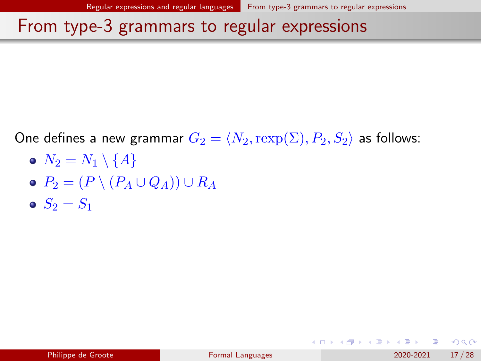One defines a new grammar  $G_2 = \langle N_2, \text{rexp}(\Sigma), P_2, S_2 \rangle$  as follows:

- $N_2 = N_1 \setminus \{A\}$
- $\bullet$   $P_2 = (P \setminus (P_A \cup Q_A)) \cup R_A$
- $S_2 = S_1$

 $\Omega$ 

 $A \sqcap A \rightarrow A \sqcap A \rightarrow A \sqsupseteq A \rightarrow A \sqsupseteq A \rightarrow A \sqsupseteq A$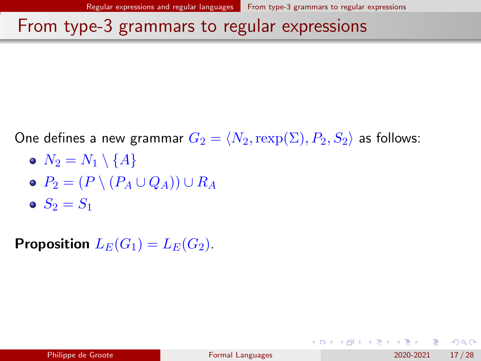One defines a new grammar  $G_2 = \langle N_2, \text{rexp}(\Sigma), P_2, S_2 \rangle$  as follows:

- $\bullet N_2 = N_1 \setminus \{A\}$
- $\bullet$   $P_2 = (P \setminus (P_A \cup Q_A)) \cup R_A$
- $S_2 = S_1$

**Proposition**  $L_E(G_1) = L_E(G_2)$ .

 $\Omega$ 

 $A \sqcap A \rightarrow A \sqcap A \rightarrow A \sqsupseteq A \rightarrow A \sqsupseteq A \rightarrow A \sqsupseteq A$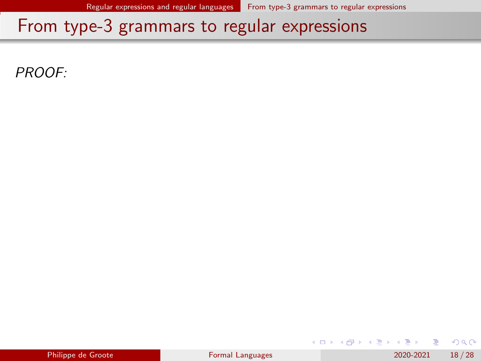PROOF:

|  | Philippe de Groote |  |  |
|--|--------------------|--|--|
|  |                    |  |  |

化重 网络重

**◆ ロ ▶ → 何** 

 $298$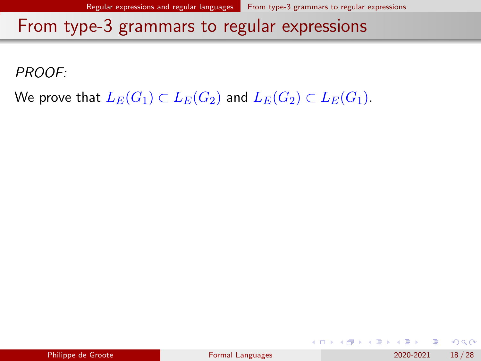PROOF:

We prove that  $L_E(G_1) \subset L_E(G_2)$  and  $L_E(G_2) \subset L_E(G_1)$ .

 $QQ$ 

化重新润滑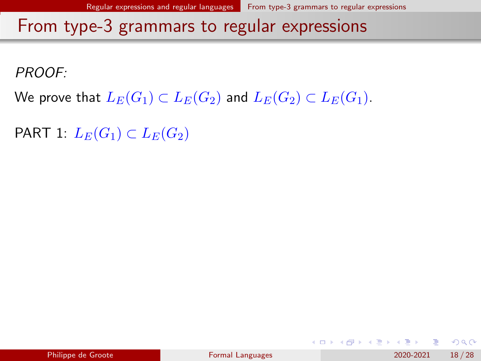PROOF:

We prove that  $L_E(G_1) \subset L_E(G_2)$  and  $L_E(G_2) \subset L_E(G_1)$ .

PART 1:  $L_E(G_1) \subset L_E(G_2)$ 

|  | Philippe de Groote |
|--|--------------------|
|  |                    |

 $QQ$ 

イロト イ押ト イヨト イヨト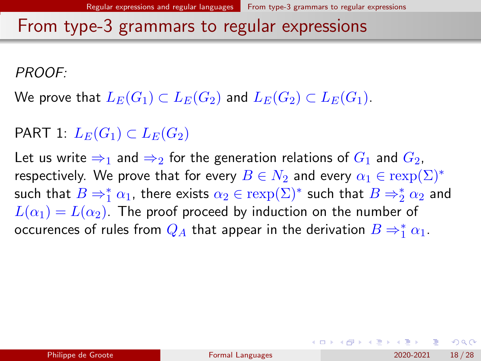PROOF:

We prove that  $L_E(G_1) \subset L_E(G_2)$  and  $L_E(G_2) \subset L_E(G_1)$ .

PART 1:  $L_E(G_1) \subset L_E(G_2)$ 

Let us write  $\Rightarrow_1$  and  $\Rightarrow_2$  for the generation relations of  $G_1$  and  $G_2$ , respectively. We prove that for every  $B \in N_2$  and every  $\alpha_1 \in \text{rexp}(\Sigma)^*$ such that  $B\Rightarrow_1^*\alpha_1$ , there exists  $\alpha_2\in\text{resp}(\Sigma)^*$  such that  $B\Rightarrow_2^*\alpha_2$  and  $L(\alpha_1) = L(\alpha_2)$ . The proof proceed by induction on the number of occurences of rules from  $Q_A$  that appear in the derivation  $B\Rightarrow^*_1\alpha_1.$ 

 $QQ$ 

イロト イ押 トイヨト イヨト ニヨ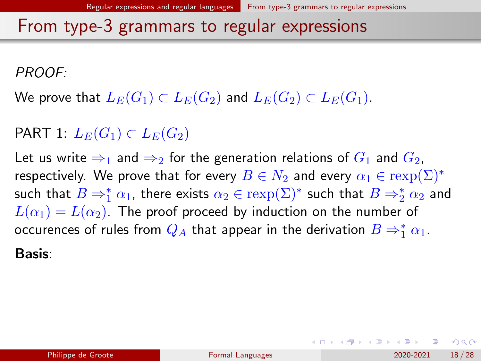PROOF:

We prove that  $L_E(G_1) \subset L_E(G_2)$  and  $L_E(G_2) \subset L_E(G_1)$ .

PART 1:  $L_E(G_1) \subset L_E(G_2)$ 

Let us write  $\Rightarrow_1$  and  $\Rightarrow_2$  for the generation relations of  $G_1$  and  $G_2$ , respectively. We prove that for every  $B \in N_2$  and every  $\alpha_1 \in \text{rexp}(\Sigma)^*$ such that  $B\Rightarrow_1^*\alpha_1$ , there exists  $\alpha_2\in\text{resp}(\Sigma)^*$  such that  $B\Rightarrow_2^*\alpha_2$  and  $L(\alpha_1) = L(\alpha_2)$ . The proof proceed by induction on the number of occurences of rules from  $Q_A$  that appear in the derivation  $B\Rightarrow^*_1\alpha_1.$ Basis:

 $QQ$ 

 $A \sqcap A \rightarrow A \sqcap A \rightarrow A \sqsupseteq A \rightarrow A \sqsupseteq A \rightarrow A \sqsupseteq A$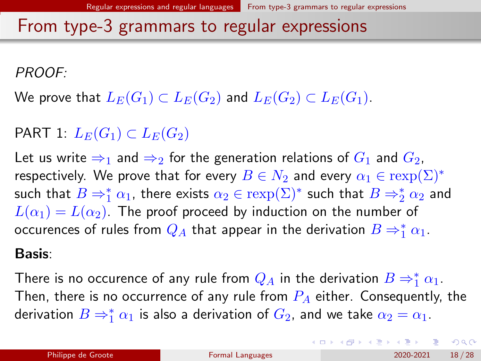<span id="page-52-0"></span>PROOF:

We prove that  $L_E(G_1) \subset L_E(G_2)$  and  $L_E(G_2) \subset L_E(G_1)$ .

PART 1:  $L_E(G_1) \subset L_E(G_2)$ 

Let us write  $\Rightarrow_1$  and  $\Rightarrow_2$  for the generation relations of  $G_1$  and  $G_2$ , respectively. We prove that for every  $B \in N_2$  and every  $\alpha_1 \in \text{rexp}(\Sigma)^*$ such that  $B\Rightarrow_1^*\alpha_1$ , there exists  $\alpha_2\in\text{resp}(\Sigma)^*$  such that  $B\Rightarrow_2^*\alpha_2$  and  $L(\alpha_1) = L(\alpha_2)$ . The proof proceed by induction on the number of occurences of rules from  $Q_A$  that appear in the derivation  $B\Rightarrow^*_1\alpha_1.$ 

#### Basis:

There is no occurence of any rule from  $Q_A$  in the derivation  $B\Rightarrow^*_1\alpha_1.$ Then, there is no occurrence of any rule from  $P_A$  either. Consequently, the derivation  $B\Rightarrow_1^*\alpha_1$  is also a derivation of  $G_2$ , and we take  $\alpha_2=\alpha_1.$ 

 $QQ$ 

イロト 不優 トイ君 トイ君 トッ君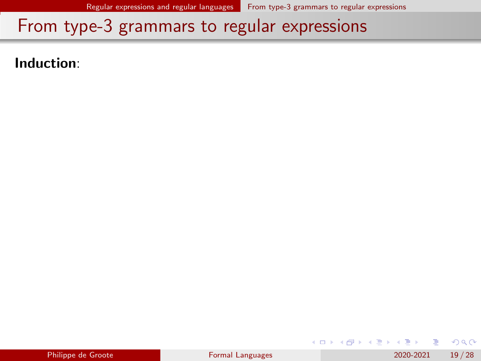<span id="page-53-0"></span>Induction:

|  | Philippe de Groote |  |
|--|--------------------|--|
|  |                    |  |

э

化重 经间重

**◆ ロ ▶ → 何** 

 $QQ$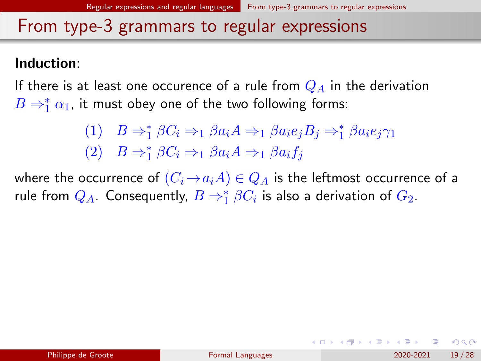### <span id="page-54-0"></span>Induction:

If there is at least one occurence of a rule from  $Q_A$  in the derivation  $B\Rightarrow_1^*\alpha_1$ , it must obey one of the two following forms:

(1) 
$$
B \Rightarrow_1^* \beta C_i \Rightarrow_1 \beta a_i A \Rightarrow_1 \beta a_i e_j B_j \Rightarrow_1^* \beta a_i e_j \gamma_1
$$
  
(2)  $B \Rightarrow_1^* \beta C_i \Rightarrow_1 \beta a_i A \Rightarrow_1 \beta a_i f_j$ 

where the occurrence of  $(C_i \rightarrow a_i A) \in Q_A$  is the leftmost occurrence of a rule from  $Q_A$ . Consequently,  $B\Rightarrow_1^*\beta C_i$  is also a derivation of  $G_2$ .

 $\Omega$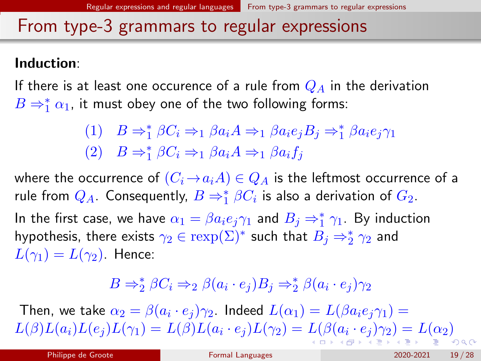### <span id="page-55-0"></span>Induction:

If there is at least one occurence of a rule from  $Q_A$  in the derivation  $B\Rightarrow_1^*\alpha_1$ , it must obey one of the two following forms:

(1) 
$$
B \Rightarrow_1^* \beta C_i \Rightarrow_1 \beta a_i A \Rightarrow_1 \beta a_i e_j B_j \Rightarrow_1^* \beta a_i e_j \gamma_1
$$
  
(2)  $B \Rightarrow_1^* \beta C_i \Rightarrow_1 \beta a_i A \Rightarrow_1 \beta a_i f_j$ 

where the occurrence of  $(C_i \rightarrow a_i A) \in Q_A$  is the leftmost occurrence of a rule from  $Q_A$ . Consequently,  $B\Rightarrow_1^*\beta C_i$  is also a derivation of  $G_2$ . In the first case, we have  $\alpha_1 = \beta a_i e_j \gamma_1$  and  $B_j \Rightarrow_1^* \gamma_1$ . By induction hypothesis, there exists  $\gamma_2\in \operatorname{rexp}(\Sigma)^*$  such that  $B_j\Rightarrow_2^*\gamma_2$  and

 $L(\gamma_1) = L(\gamma_2)$ . Hence:

$$
B \Rightarrow_2^* \beta C_i \Rightarrow_2 \beta (a_i \cdot e_j) B_j \Rightarrow_2^* \beta (a_i \cdot e_j) \gamma_2
$$

Then, we take  $\alpha_2=\beta(a_i\cdot e_j)\gamma_2$ . Indeed  $L(\alpha_1)=L(\beta a_i e_j\gamma_1)=0$  $L(\beta)L(a_i)L(e_j)L(\gamma_1)=L(\beta)L(a_i\cdot e_j)L(\gamma_2)=L(\beta(a_i\cdot e_j)\gamma_2)=L(\alpha_2)$  $L(\beta)L(a_i)L(e_j)L(\gamma_1)=L(\beta)L(a_i\cdot e_j)L(\gamma_2)=L(\beta(a_i\cdot e_j)\gamma_2)=L(\alpha_2)$  $L(\beta)L(a_i)L(e_j)L(\gamma_1)=L(\beta)L(a_i\cdot e_j)L(\gamma_2)=L(\beta(a_i\cdot e_j)\gamma_2)=L(\alpha_2)$  $L(\beta)L(a_i)L(e_j)L(\gamma_1)=L(\beta)L(a_i\cdot e_j)L(\gamma_2)=L(\beta(a_i\cdot e_j)\gamma_2)=L(\alpha_2)$  $L(\beta)L(a_i)L(e_j)L(\gamma_1)=L(\beta)L(a_i\cdot e_j)L(\gamma_2)=L(\beta(a_i\cdot e_j)\gamma_2)=L(\alpha_2)$  $L(\beta)L(a_i)L(e_j)L(\gamma_1)=L(\beta)L(a_i\cdot e_j)L(\gamma_2)=L(\beta(a_i\cdot e_j)\gamma_2)=L(\alpha_2)$  $L(\beta)L(a_i)L(e_j)L(\gamma_1)=L(\beta)L(a_i\cdot e_j)L(\gamma_2)=L(\beta(a_i\cdot e_j)\gamma_2)=L(\alpha_2)$  $L(\beta)L(a_i)L(e_j)L(\gamma_1)=L(\beta)L(a_i\cdot e_j)L(\gamma_2)=L(\beta(a_i\cdot e_j)\gamma_2)=L(\alpha_2)$  $L(\beta)L(a_i)L(e_j)L(\gamma_1)=L(\beta)L(a_i\cdot e_j)L(\gamma_2)=L(\beta(a_i\cdot e_j)\gamma_2)=L(\alpha_2)$  $L(\beta)L(a_i)L(e_j)L(\gamma_1)=L(\beta)L(a_i\cdot e_j)L(\gamma_2)=L(\beta(a_i\cdot e_j)\gamma_2)=L(\alpha_2)$  $L(\beta)L(a_i)L(e_j)L(\gamma_1)=L(\beta)L(a_i\cdot e_j)L(\gamma_2)=L(\beta(a_i\cdot e_j)\gamma_2)=L(\alpha_2)$  $L(\beta)L(a_i)L(e_j)L(\gamma_1)=L(\beta)L(a_i\cdot e_j)L(\gamma_2)=L(\beta(a_i\cdot e_j)\gamma_2)=L(\alpha_2)$  $L(\beta)L(a_i)L(e_j)L(\gamma_1)=L(\beta)L(a_i\cdot e_j)L(\gamma_2)=L(\beta(a_i\cdot e_j)\gamma_2)=L(\alpha_2)$  $L(\beta)L(a_i)L(e_j)L(\gamma_1)=L(\beta)L(a_i\cdot e_j)L(\gamma_2)=L(\beta(a_i\cdot e_j)\gamma_2)=L(\alpha_2)$  $L(\beta)L(a_i)L(e_j)L(\gamma_1)=L(\beta)L(a_i\cdot e_j)L(\gamma_2)=L(\beta(a_i\cdot e_j)\gamma_2)=L(\alpha_2)$  $L(\beta)L(a_i)L(e_j)L(\gamma_1)=L(\beta)L(a_i\cdot e_j)L(\gamma_2)=L(\beta(a_i\cdot e_j)\gamma_2)=L(\alpha_2)$  $L(\beta)L(a_i)L(e_j)L(\gamma_1)=L(\beta)L(a_i\cdot e_j)L(\gamma_2)=L(\beta(a_i\cdot e_j)\gamma_2)=L(\alpha_2)$  $\Omega$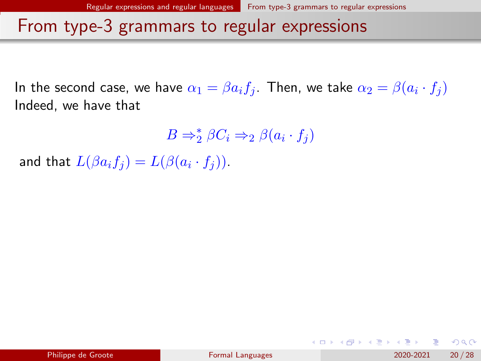<span id="page-56-0"></span>In the second case, we have  $\alpha_1=\beta a_i f_j.$  Then, we take  $\alpha_2=\beta (a_i\cdot f_j)$ Indeed, we have that

 $B \Rightarrow_{2}^{*} \beta C_{i} \Rightarrow_{2} \beta (a_{i} \cdot f_{j})$ 

and that  $L(\beta a_i f_j) = L(\beta (a_i \cdot f_j)).$ 

 $\Omega$ 

イロト イ部 トイモ トイモト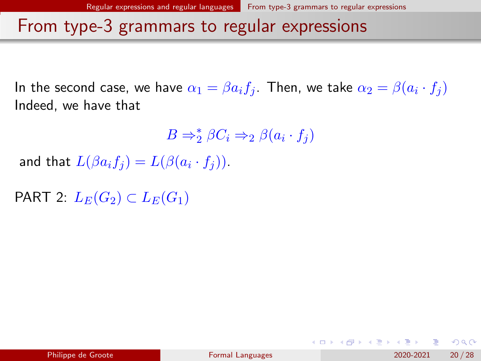In the second case, we have  $\alpha_1=\beta a_i f_j.$  Then, we take  $\alpha_2=\beta (a_i\cdot f_j)$ Indeed, we have that

 $B \Rightarrow_{2}^{*} \beta C_{i} \Rightarrow_{2} \beta (a_{i} \cdot f_{j})$ 

and that  $L(\beta a_i f_j) = L(\beta (a_i \cdot f_j)).$ 

PART 2:  $L_E(G_2) \subset L_E(G_1)$ 

 $\Omega$ 

 $A \Box B$   $A \Box B$   $A \Box B$   $A \Box B$   $A \Box B$   $A$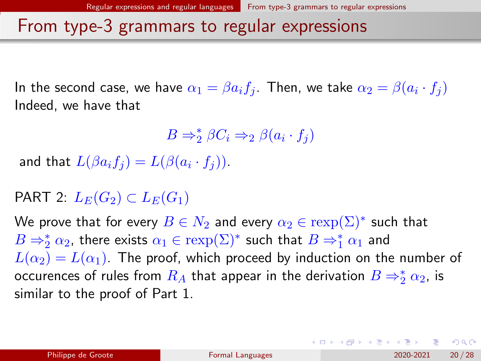In the second case, we have  $\alpha_1=\beta a_i f_j.$  Then, we take  $\alpha_2=\beta (a_i\cdot f_j)$ Indeed, we have that

$$
B \Rightarrow_2^* \beta C_i \Rightarrow_2 \beta (a_i \cdot f_j)
$$

and that  $L(\beta a_i f_j) = L(\beta (a_i \cdot f_j)).$ 

### PART 2:  $L_E(G_2) \subset L_E(G_1)$

We prove that for every  $B\in N_2$  and every  $\alpha_2\in \operatorname{rexp}(\Sigma)^*$  such that  $B\Rightarrow_2^* \alpha_2$ , there exists  $\alpha_1\in \operatorname{rexp}(\Sigma)^*$  such that  $B\Rightarrow_1^* \alpha_1$  and  $L(\alpha_2) = L(\alpha_1)$ . The proof, which proceed by induction on the number of occurences of rules from  $R_A$  that appear in the derivation  $B\Rightarrow_2^*\alpha_2$ , is similar to the proof of Part 1.

 $\Omega$ 

イロト イ団 トイ ヨト イヨト 一番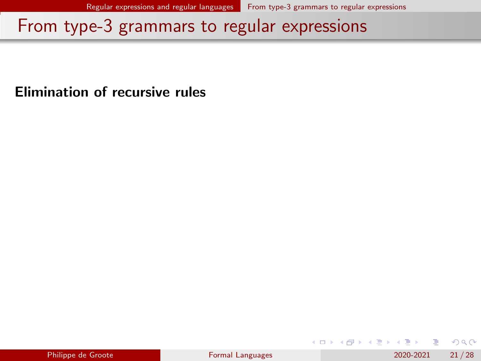Elimination of recursive rules

| Philippe de Groote |  |  |
|--------------------|--|--|

4 0 8

 $QQ$ 

지금 되지 못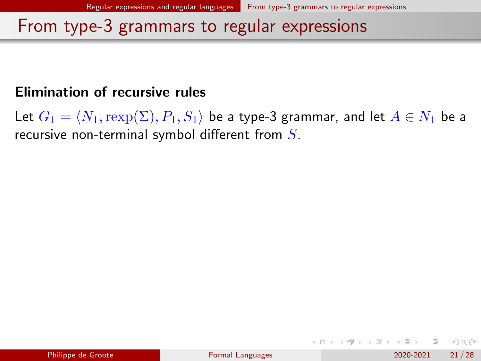### Elimination of recursive rules

Let  $G_1 = \langle N_1, \text{rexp}(\Sigma), P_1, S_1 \rangle$  be a type-3 grammar, and let  $A \in N_1$  be a recursive non-terminal symbol different from  $S$ .

 $QQ$ 

イロト イ押ト イヨト イヨト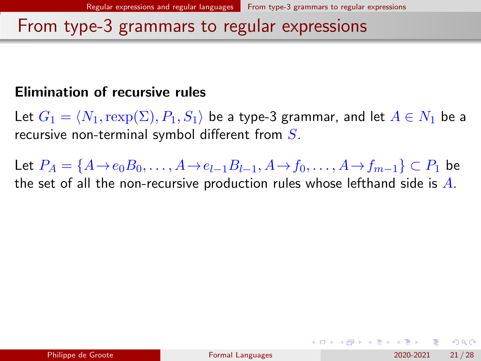### Elimination of recursive rules

Let  $G_1 = \langle N_1,\text{rexp}(\Sigma), P_1, S_1 \rangle$  be a type-3 grammar, and let  $A \in N_1$  be a recursive non-terminal symbol different from  $S$ .

Let  $P_A = \{A \rightarrow e_0 B_0, \dots, A \rightarrow e_{l-1} B_{l-1}, A \rightarrow f_0, \dots, A \rightarrow f_{m-1}\} \subset P_1$  be the set of all the non-recursive production rules whose lefthand side is  $A$ .

 $\Omega$ 

イロト イ押 トイヨト イヨト ニヨ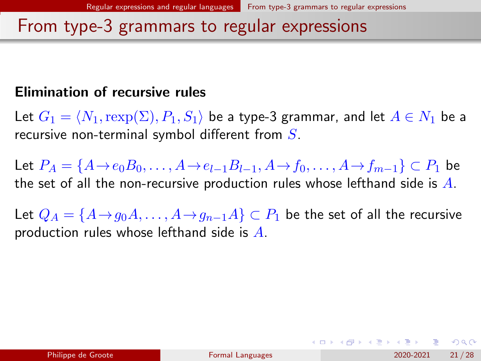### Elimination of recursive rules

Let  $G_1 = \langle N_1,\text{rexp}(\Sigma), P_1, S_1 \rangle$  be a type-3 grammar, and let  $A \in N_1$  be a recursive non-terminal symbol different from  $S$ .

Let  $P_A = \{A \rightarrow e_0B_0, \ldots, A \rightarrow e_{l-1}B_{l-1}, A \rightarrow f_0, \ldots, A \rightarrow f_{m-1}\} \subset P_1$  be the set of all the non-recursive production rules whose lefthand side is  $A$ .

Let  $Q_A = \{A \rightarrow q_0A, \ldots, A \rightarrow q_{n-1}A\} \subset P_1$  be the set of all the recursive production rules whose lefthand side is  $A$ .

イロト イ母 トイミト イヨト ニヨー りんぴ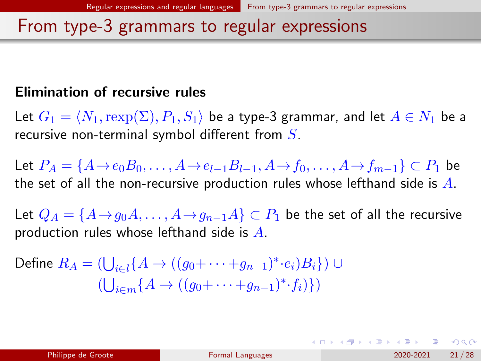### Elimination of recursive rules

Let  $G_1 = \langle N_1,\text{rexp}(\Sigma), P_1, S_1 \rangle$  be a type-3 grammar, and let  $A \in N_1$  be a recursive non-terminal symbol different from  $S$ .

Let  $P_A = \{A \rightarrow e_0B_0, \ldots, A \rightarrow e_{l-1}B_{l-1}, A \rightarrow f_0, \ldots, A \rightarrow f_{m-1}\} \subset P_1$  be the set of all the non-recursive production rules whose lefthand side is  $A$ .

Let  $Q_A = \{A \rightarrow q_0A, \ldots, A \rightarrow q_{n-1}A\} \subset P_1$  be the set of all the recursive production rules whose lefthand side is  $A$ .

Define 
$$
R_A = (\bigcup_{i \in l} \{A \to ((g_0 + \cdots + g_{n-1})^* \cdot e_i)B_i\}) \cup
$$
  

$$
(\bigcup_{i \in m} \{A \to ((g_0 + \cdots + g_{n-1})^* \cdot f_i)\})
$$

イロト イ母 トイミト イヨト ニヨー りんぴ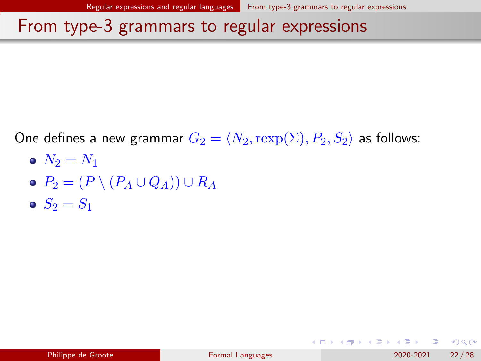One defines a new grammar  $G_2 = \langle N_2, \text{rexp}(\Sigma), P_2, S_2 \rangle$  as follows:

- $N_2 = N_1$
- $\bullet$   $P_2 = (P \setminus (P_A \cup Q_A)) \cup R_A$
- $S_2 = S_1$

 $\Omega$ 

 $A \sqcap A \rightarrow A \sqcap A \rightarrow A \sqsupseteq A \rightarrow A \sqsupseteq A \rightarrow A \sqsupseteq A$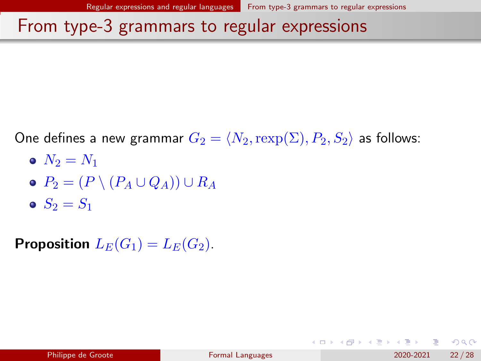One defines a new grammar  $G_2 = \langle N_2, \text{rexp}(\Sigma), P_2, S_2 \rangle$  as follows:

- $N_2 = N_1$
- $\bullet$   $P_2 = (P \setminus (P_A \cup Q_A)) \cup R_A$
- $S_2 = S_1$

**Proposition**  $L_E(G_1) = L_E(G_2)$ .

 $\Omega$ 

 $A \sqcap A \rightarrow A \sqcap A \rightarrow A \sqsupseteq A \rightarrow A \sqsupseteq A \rightarrow A \sqsupseteq A$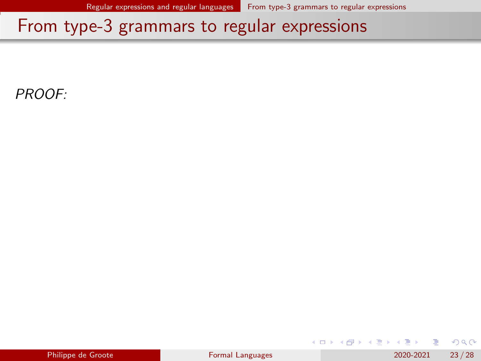PROOF:

|  | Philippe de Groote |  |
|--|--------------------|--|

4 0 8

化重 经间重

 $299$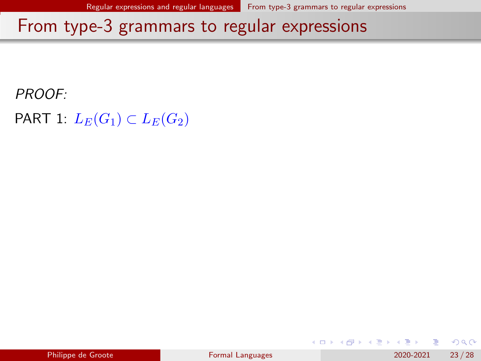PROOF:

PART 1:  $L_E(G_1) \subset L_E(G_2)$ 

|  | Philippe de Groote |
|--|--------------------|

化重 经间重

4 D F

 $QQ$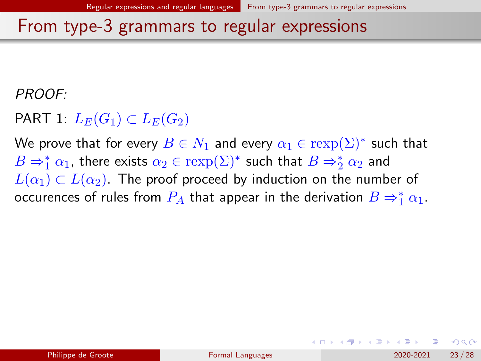PROOF:

PART 1:  $L_E(G_1) \subset L_E(G_2)$ 

We prove that for every  $B\in N_1$  and every  $\alpha_1\in \operatorname{resp}(\Sigma)^*$  such that  $B\Rightarrow_1^*\alpha_1$ , there exists  $\alpha_2\in\text{resp}(\Sigma)^*$  such that  $B\Rightarrow_2^*\alpha_2$  and  $L(\alpha_1) \subset L(\alpha_2)$ . The proof proceed by induction on the number of occurences of rules from  $P_A$  that appear in the derivation  $B\Rightarrow^*_1\alpha_1.$ 

 $\Omega$ 

イロト イ押ト イヨト イヨト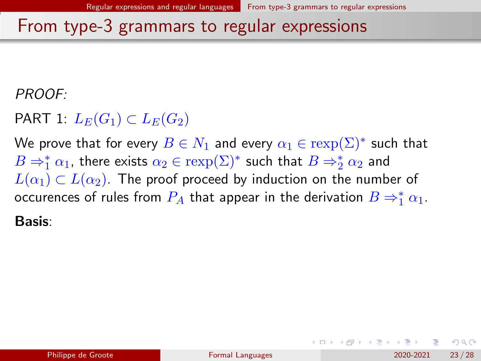PROOF:

PART 1:  $L_E(G_1) \subset L_E(G_2)$ 

We prove that for every  $B\in N_1$  and every  $\alpha_1\in \operatorname{resp}(\Sigma)^*$  such that  $B\Rightarrow_1^*\alpha_1$ , there exists  $\alpha_2\in\text{resp}(\Sigma)^*$  such that  $B\Rightarrow_2^*\alpha_2$  and  $L(\alpha_1) \subset L(\alpha_2)$ . The proof proceed by induction on the number of occurences of rules from  $P_A$  that appear in the derivation  $B\Rightarrow^*_1\alpha_1.$ 

Basis:

 $\Omega$ 

イロト イ押ト イヨト イヨト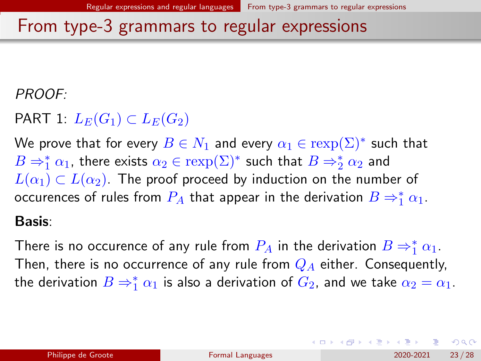PROOF:

PART 1:  $L_E(G_1) \subset L_E(G_2)$ 

We prove that for every  $B\in N_1$  and every  $\alpha_1\in \operatorname{resp}(\Sigma)^*$  such that  $B\Rightarrow_1^*\alpha_1$ , there exists  $\alpha_2\in\text{resp}(\Sigma)^*$  such that  $B\Rightarrow_2^*\alpha_2$  and  $L(\alpha_1) \subset L(\alpha_2)$ . The proof proceed by induction on the number of occurences of rules from  $P_A$  that appear in the derivation  $B\Rightarrow^*_1\alpha_1.$ 

#### Basis:

There is no occurence of any rule from  $P_A$  in the derivation  $B\Rightarrow^*_1\alpha_1.$ Then, there is no occurrence of any rule from  $Q_A$  either. Consequently, the derivation  $B\Rightarrow_1^*\alpha_1$  is also a derivation of  $G_2$ , and we take  $\alpha_2=\alpha_1.$ 

 $\Omega$ 

K ロ > K dj > K 글 > K 글 > H 글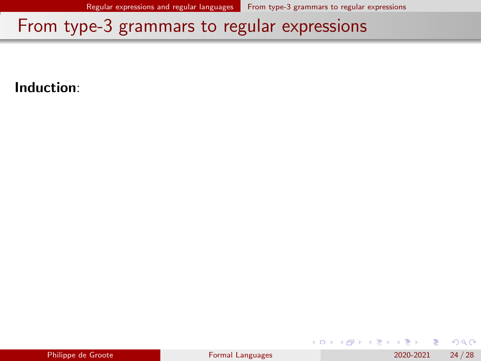Induction:

| Philippe de Groote |  |  |
|--------------------|--|--|

4 0 8

э

化重 经间重

 $QQ$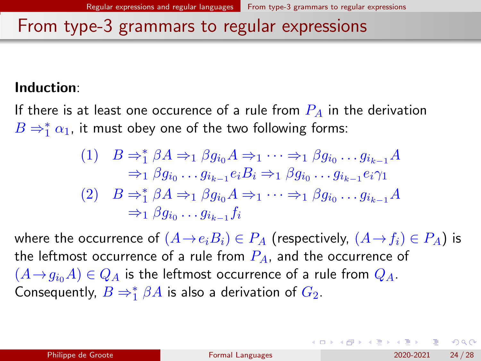#### Induction:

If there is at least one occurence of a rule from  $P_A$  in the derivation  $B\Rightarrow_1^*\alpha_1$ , it must obey one of the two following forms:

$$
\begin{array}{ll}\n(1) & B \Rightarrow_1^* \beta A \Rightarrow_1 \beta g_{i_0} A \Rightarrow_1 \dots \Rightarrow_1 \beta g_{i_0} \dots g_{i_{k-1}} A \\
& \Rightarrow_1 \beta g_{i_0} \dots g_{i_{k-1}} e_i B_i \Rightarrow_1 \beta g_{i_0} \dots g_{i_{k-1}} e_i \gamma_1 \\
(2) & B \Rightarrow_1^* \beta A \Rightarrow_1 \beta g_{i_0} A \Rightarrow_1 \dots \Rightarrow_1 \beta g_{i_0} \dots g_{i_{k-1}} A \\
& \Rightarrow_1 \beta g_{i_0} \dots g_{i_{k-1}} f_i\n\end{array}
$$

where the occurrence of  $(A \rightarrow e_iB_i) \in P_A$  (respectively,  $(A \rightarrow f_i) \in P_A$ ) is the leftmost occurrence of a rule from  $P_A$ , and the occurrence of  $(A \rightarrow q_{i0}A) \in Q_A$  is the leftmost occurrence of a rule from  $Q_A$ . Consequently,  $B \Rightarrow_1^* \beta A$  is also a derivation of  $G_2$ .

 $\Omega$ 

 $A \equiv \begin{pmatrix} 1 & 0 & 0 \\ 0 & 1 & 0 \\ 0 & 0 & 0 \end{pmatrix} \in A \Rightarrow A \equiv \begin{pmatrix} 1 & 0 & 0 \\ 0 & 1 & 0 \\ 0 & 0 & 0 \end{pmatrix} \in A$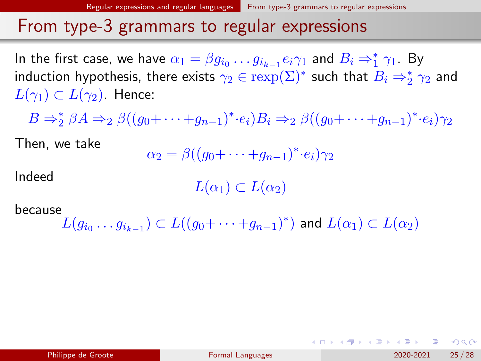In the first case, we have  $\alpha_1=\beta g_{i_0}\ldots g_{i_{k-1}}e_i\gamma_1$  and  $B_i\Rightarrow_1^*\gamma_1$ . By induction hypothesis, there exists  $\gamma_2\in \operatorname{resp}(\Sigma)^*$  such that  $B_i\Rightarrow_2^*\gamma_2$  and  $L(\gamma_1) \subset L(\gamma_2)$ . Hence:

 $B \Rightarrow_2^* \beta A \Rightarrow_2 \beta((g_0 + \cdots + g_{n-1})^* \cdot e_i)B_i \Rightarrow_2 \beta((g_0 + \cdots + g_{n-1})^* \cdot e_i)\gamma_2$ 

Then, we take

$$
\alpha_2 = \beta((g_0 + \dots + g_{n-1})^* \cdot e_i)\gamma_2
$$

Indeed

 $L(\alpha_1) \subset L(\alpha_2)$ 

because

 $L(g_{i_0}\ldots g_{i_{k-1}})\subset L((g_0+\cdots+g_{n-1})^*)$  and  $L(\alpha_1)\subset L(\alpha_2)$ 

 $QQQ$ 

KID KA KA SA KE KI E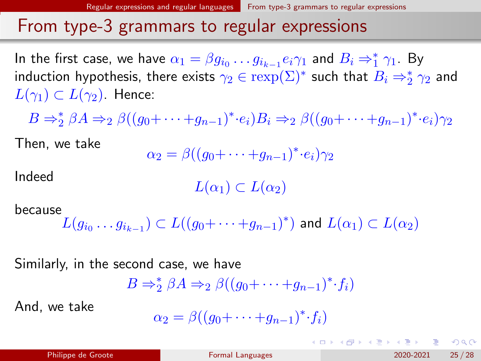In the first case, we have  $\alpha_1=\beta g_{i_0}\ldots g_{i_{k-1}}e_i\gamma_1$  and  $B_i\Rightarrow_1^*\gamma_1$ . By induction hypothesis, there exists  $\gamma_2\in \operatorname{resp}(\Sigma)^*$  such that  $B_i\Rightarrow_2^*\gamma_2$  and  $L(\gamma_1) \subset L(\gamma_2)$ . Hence:

 $B \Rightarrow_2^* \beta A \Rightarrow_2 \beta((g_0 + \cdots + g_{n-1})^* \cdot e_i)B_i \Rightarrow_2 \beta((g_0 + \cdots + g_{n-1})^* \cdot e_i)\gamma_2$ 

Then, we take

$$
\alpha_2 = \beta((g_0 + \dots + g_{n-1})^* \cdot e_i)\gamma_2
$$

Indeed

 $L(\alpha_1) \subset L(\alpha_2)$ 

because

$$
L(g_{i_0}\ldots g_{i_{k-1}})\subset L((g_0+\cdots+g_{n-1})^*)\text{ and }L(\alpha_1)\subset L(\alpha_2)
$$

Similarly, in the second case, we have

$$
B \Rightarrow_{2}^{*} \beta A \Rightarrow_{2} \beta((g_{0} + \cdots + g_{n-1})^{*} \cdot f_{i})
$$

And, we take

$$
\alpha_2 = \beta((g_0 + \dots + g_{n-1})^* \cdot f_i)
$$

 $\Omega$ 

KID KA KA SA KE KI E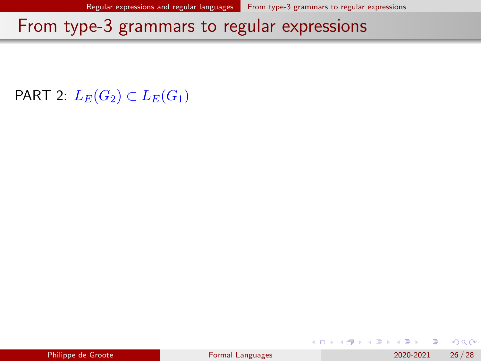PART 2:  $L_E(G_2) \subset L_E(G_1)$ 

| Philippe de Groote |  |  |
|--------------------|--|--|

지금 되지 못

4 D F

 $QQ$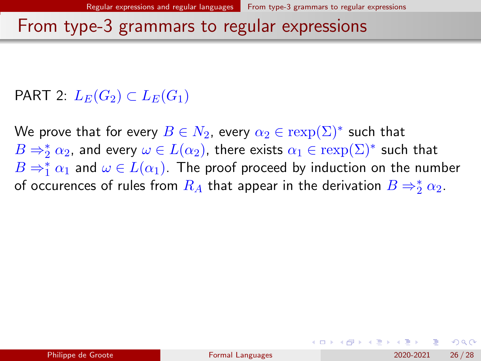### PART 2:  $L_E(G_2) \subset L_E(G_1)$

We prove that for every  $B\in N_2$ , every  $\alpha_2\in \operatorname{rexp}(\Sigma)^*$  such that  $B\Rightarrow_2^*\alpha_2$ , and every  $\omega\in L(\alpha_2)$ , there exists  $\alpha_1\in\text{resp}(\Sigma)^*$  such that  $B\Rightarrow_1^*\alpha_1$  and  $\omega\in L(\alpha_1).$  The proof proceed by induction on the number of occurences of rules from  $R_A$  that appear in the derivation  $B\Rightarrow_2^*\alpha_2.$ 

 $200$ 

イロト イ押ト イヨト イヨト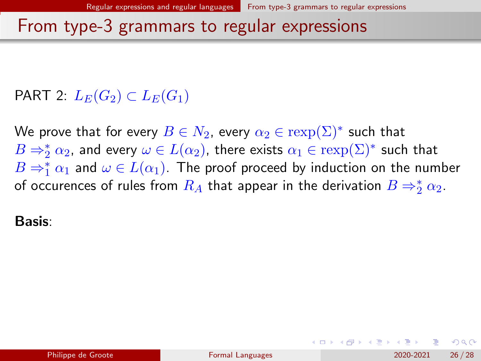### PART 2:  $L_E(G_2) \subset L_E(G_1)$

We prove that for every  $B\in N_2$ , every  $\alpha_2\in \operatorname{rexp}(\Sigma)^*$  such that  $B\Rightarrow_2^*\alpha_2$ , and every  $\omega\in L(\alpha_2)$ , there exists  $\alpha_1\in\text{resp}(\Sigma)^*$  such that  $B\Rightarrow_1^*\alpha_1$  and  $\omega\in L(\alpha_1).$  The proof proceed by induction on the number of occurences of rules from  $R_A$  that appear in the derivation  $B\Rightarrow_2^*\alpha_2.$ 

Basis:

 $200$ 

イロト イ押ト イヨト イヨト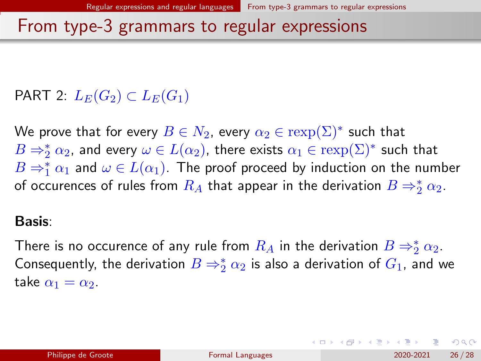### PART 2:  $L_E(G_2) \subset L_E(G_1)$

We prove that for every  $B\in N_2$ , every  $\alpha_2\in \operatorname{rexp}(\Sigma)^*$  such that  $B\Rightarrow_2^*\alpha_2$ , and every  $\omega\in L(\alpha_2)$ , there exists  $\alpha_1\in\text{resp}(\Sigma)^*$  such that  $B\Rightarrow_1^*\alpha_1$  and  $\omega\in L(\alpha_1).$  The proof proceed by induction on the number of occurences of rules from  $R_A$  that appear in the derivation  $B\Rightarrow_2^*\alpha_2.$ 

#### Basis:

There is no occurence of any rule from  $R_A$  in the derivation  $B\Rightarrow_2^*\alpha_2.$ Consequently, the derivation  $B\Rightarrow_2^*\alpha_2$  is also a derivation of  $G_1$ , and we take  $\alpha_1 = \alpha_2$ .

 $QQQ$ 

K ロ > K dj > K 글 > K 글 > H 글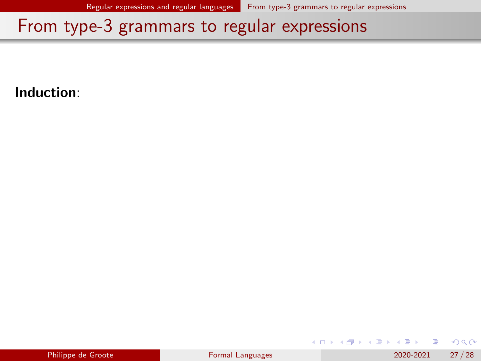Induction:

|  | Philippe de Groote |
|--|--------------------|

4 0 8

化重 经间重

 $QQ$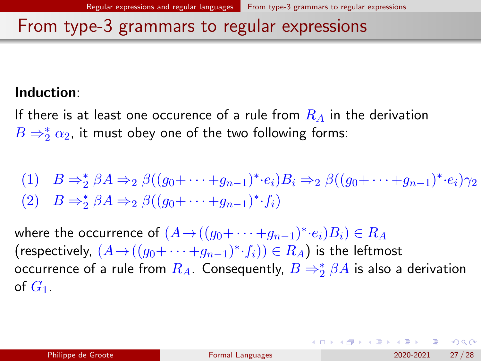#### Induction:

If there is at least one occurence of a rule from  $R_A$  in the derivation  $B\Rightarrow_2^*\alpha_2$ , it must obey one of the two following forms:

(1)  $B \Rightarrow_{2}^{*} \beta A \Rightarrow_{2} \beta((g_{0} + \cdots + g_{n-1})^{*} \cdot e_{i})B_{i} \Rightarrow_{2} \beta((g_{0} + \cdots + g_{n-1})^{*} \cdot e_{i})\gamma_{2}$ (2)  $B \Rightarrow_2^* \beta A \Rightarrow_2 \beta((g_0 + \cdots + g_{n-1})^* \cdot f_i)$ 

where the occurrence of  $(A \to ((g_0 + \cdots + g_{n-1})^*{\cdot} e_i)B_i) \in R_A$ (respectively,  $(A \rightarrow ((g_0 + \cdots + g_{n-1})^* \cdot f_i)) \in R_A$ ) is the leftmost occurrence of a rule from  $R_A$ . Consequently,  $B\Rightarrow_2^*\beta A$  is also a derivation of  $G_1$ .

**KEIN KARA KEIN EE YO A GARA KEE**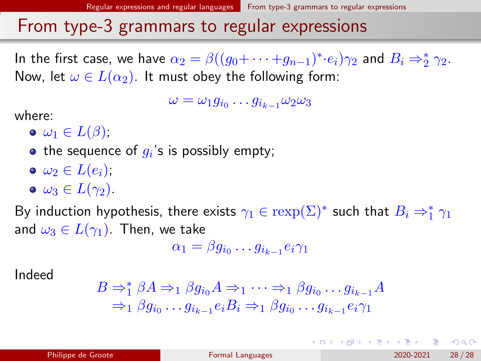In the first case, we have  $\alpha_2 = \beta((g_0 + \cdots + g_{n-1})^* \cdot e_i) \gamma_2$  and  $B_i \Rightarrow_2^* \gamma_2$ . Now, let  $\omega \in L(\alpha_2)$ . It must obey the following form:

 $\omega = \omega_1 g_{i_0} \dots g_{i_{k-1}} \omega_2 \omega_3$ 

where:

- $\bullet \omega_1 \in L(\beta);$
- the sequence of  $g_i$ 's is possibly empty;
- $\bullet \omega_2 \in L(e_i);$
- $\bullet \omega_3 \in L(\gamma_2)$ .

By induction hypothesis, there exists  $\gamma_1\in \text{resp}(\Sigma)^*$  such that  $B_i\Rightarrow^*_1\gamma_1$ and  $\omega_3 \in L(\gamma_1)$ . Then, we take

$$
\alpha_1 = \beta g_{i_0} \dots g_{i_{k-1}} e_i \gamma_1
$$

Indeed

$$
B \Rightarrow_1^* \beta A \Rightarrow_1 \beta g_{i_0} A \Rightarrow_1 \cdots \Rightarrow_1 \beta g_{i_0} \cdots g_{i_{k-1}} A
$$
  

$$
\Rightarrow_1 \beta g_{i_0} \cdots g_{i_{k-1}} e_i B_i \Rightarrow_1 \beta g_{i_0} \cdots g_{i_{k-1}} e_i \gamma_1
$$

 $QQQ$ 

イロト イ何 トイヨト イヨト ニヨー